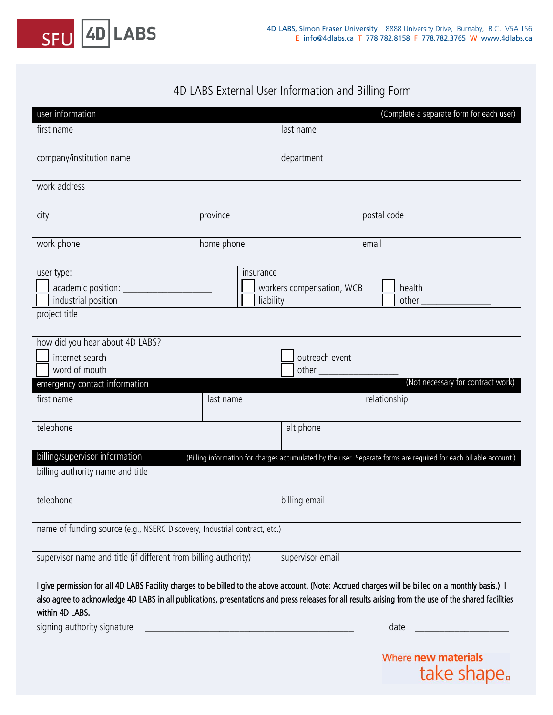

## 4D LABS External User Information and Billing Form

| user information                                                                                                                                                                                                                                                                                                               |            |                  | (Complete a separate form for each user) |  |
|--------------------------------------------------------------------------------------------------------------------------------------------------------------------------------------------------------------------------------------------------------------------------------------------------------------------------------|------------|------------------|------------------------------------------|--|
| first name                                                                                                                                                                                                                                                                                                                     |            | last name        |                                          |  |
| company/institution name                                                                                                                                                                                                                                                                                                       |            | department       |                                          |  |
| work address                                                                                                                                                                                                                                                                                                                   |            |                  |                                          |  |
| city                                                                                                                                                                                                                                                                                                                           | province   |                  | postal code                              |  |
| work phone                                                                                                                                                                                                                                                                                                                     | home phone |                  | email                                    |  |
| insurance<br>user type:<br>academic position: ______________<br>workers compensation, WCB<br>industrial position<br>liability<br>project title                                                                                                                                                                                 |            | health           |                                          |  |
| how did you hear about 4D LABS?<br>internet search<br>outreach event<br>word of mouth<br>$other$ <sub>----</sub>                                                                                                                                                                                                               |            |                  |                                          |  |
| emergency contact information                                                                                                                                                                                                                                                                                                  |            |                  | (Not necessary for contract work)        |  |
| first name                                                                                                                                                                                                                                                                                                                     | last name  |                  | relationship                             |  |
| telephone                                                                                                                                                                                                                                                                                                                      |            | alt phone        |                                          |  |
| billing/supervisor information<br>(Billing information for charges accumulated by the user. Separate forms are required for each billable account.)                                                                                                                                                                            |            |                  |                                          |  |
| billing authority name and title                                                                                                                                                                                                                                                                                               |            |                  |                                          |  |
| telephone                                                                                                                                                                                                                                                                                                                      |            | billing email    |                                          |  |
| name of funding source (e.g., NSERC Discovery, Industrial contract, etc.)                                                                                                                                                                                                                                                      |            |                  |                                          |  |
| supervisor name and title (if different from billing authority)                                                                                                                                                                                                                                                                |            | supervisor email |                                          |  |
| I give permission for all 4D LABS Facility charges to be billed to the above account. (Note: Accrued charges will be billed on a monthly basis.) I<br>also agree to acknowledge 4D LABS in all publications, presentations and press releases for all results arising from the use of the shared facilities<br>within 4D LABS. |            |                  |                                          |  |
| signing authority signature                                                                                                                                                                                                                                                                                                    |            | date             |                                          |  |

Where new materials take shape.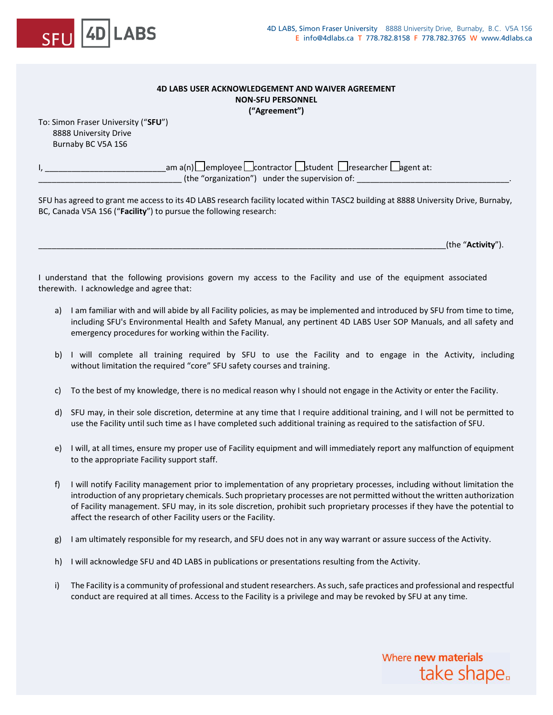

## **4D LABS USER ACKNOWLEDGEMENT AND WAIVER AGREEMENT NON-SFU PERSONNEL ("Agreement")**

To: Simon Fraser University ("**SFU**") 8888 University Drive Burnaby BC V5A 1S6

> I, \_\_\_\_\_\_\_\_\_\_\_\_\_\_\_\_\_\_\_\_\_\_\_\_\_\_\_am a(n) ☐ employee ☐ contractor ☐ student ☐ researcher ☐ agent at:  $\frac{1}{\sqrt{1-\frac{1}{2}}}\left($  the "organization") under the supervision of:  $\frac{1}{\sqrt{1-\frac{1}{2}}}$

SFU has agreed to grant me access to its 4D LABS research facility located within TASC2 building at 8888 University Drive, Burnaby, BC, Canada V5A 1S6 ("**Facility**") to pursue the following research:

\_\_\_\_\_\_\_\_\_\_\_\_\_\_\_\_\_\_\_\_\_\_\_\_\_\_\_\_\_\_\_\_\_\_\_\_\_\_\_\_\_\_\_\_\_\_\_\_\_\_\_\_\_\_\_\_\_\_\_\_\_\_\_\_\_\_\_\_\_\_\_\_\_\_\_\_\_\_\_\_\_\_\_\_\_\_\_\_\_\_\_(the "**Activity**").

I understand that the following provisions govern my access to the Facility and use of the equipment associated therewith. I acknowledge and agree that:

- a) I am familiar with and will abide by all Facility policies, as may be implemented and introduced by SFU from time to time, including SFU's Environmental Health and Safety Manual, any pertinent 4D LABS User SOP Manuals, and all safety and emergency procedures for working within the Facility.
- b) I will complete all training required by SFU to use the Facility and to engage in the Activity, including without limitation the required "core" SFU safety courses and training.
- c) To the best of my knowledge, there is no medical reason why I should not engage in the Activity or enter the Facility.
- d) SFU may, in their sole discretion, determine at any time that I require additional training, and I will not be permitted to use the Facility until such time as I have completed such additional training as required to the satisfaction of SFU.
- e) I will, at all times, ensure my proper use of Facility equipment and will immediately report any malfunction of equipment to the appropriate Facility support staff.
- f) I will notify Facility management prior to implementation of any proprietary processes, including without limitation the introduction of any proprietary chemicals. Such proprietary processes are not permitted without the written authorization of Facility management. SFU may, in its sole discretion, prohibit such proprietary processes if they have the potential to affect the research of other Facility users or the Facility.
- g) I am ultimately responsible for my research, and SFU does not in any way warrant or assure success of the Activity.
- h) I will acknowledge SFU and 4D LABS in publications or presentations resulting from the Activity.
- i) The Facility is a community of professional and student researchers. As such, safe practices and professional and respectful conduct are required at all times. Access to the Facility is a privilege and may be revoked by SFU at any time.